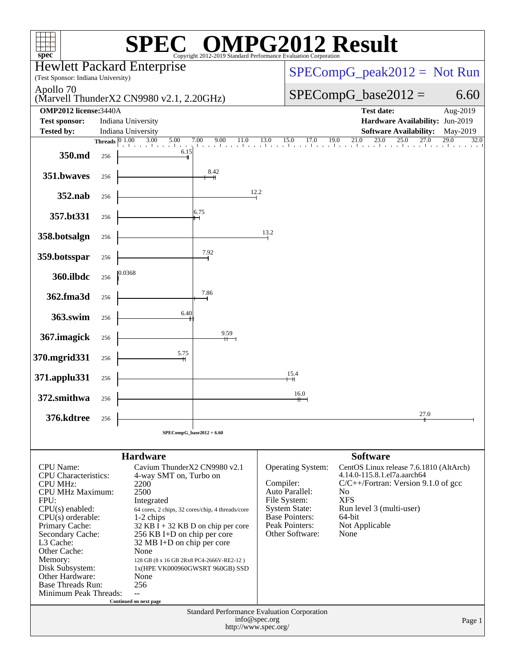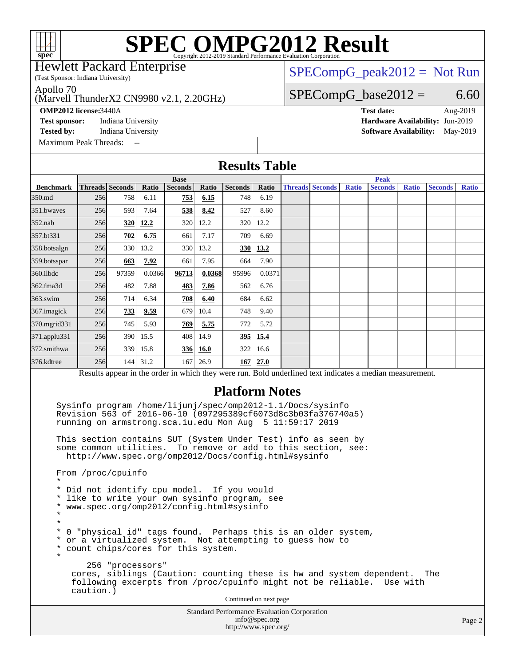(Test Sponsor: Indiana University) Hewlett Packard Enterprise

### [SPECompG\\_peak2012 =](http://www.spec.org/auto/omp2012/Docs/result-fields.html#SPECompGpeak2012) Not Run

Apollo 70

### (Marvell ThunderX2 CN9980 v2.1, 2.20GHz)

[Maximum Peak Threads:](http://www.spec.org/auto/omp2012/Docs/result-fields.html#MaximumPeakThreads) --

 $SPECompG_base2012 = 6.60$  $SPECompG_base2012 = 6.60$ **[OMP2012 license:](http://www.spec.org/auto/omp2012/Docs/result-fields.html#OMP2012license)**3440A **[Test date:](http://www.spec.org/auto/omp2012/Docs/result-fields.html#Testdate)** Aug-2019 **[Test sponsor:](http://www.spec.org/auto/omp2012/Docs/result-fields.html#Testsponsor)** Indiana University **[Hardware Availability:](http://www.spec.org/auto/omp2012/Docs/result-fields.html#HardwareAvailability)** Jun-2019

**[Tested by:](http://www.spec.org/auto/omp2012/Docs/result-fields.html#Testedby)** Indiana University **[Software Availability:](http://www.spec.org/auto/omp2012/Docs/result-fields.html#SoftwareAvailability)** May-2019

| <b>Results Table</b>                                                                                                                                                                                                                                                                                                                                                                                                                                                                                                                                                                                                                                                                                                                                                                                                                                                                                                                                                                      |                                                                       |                 |          |                |            |                |            |  |                        |              |                                                                                                          |              |                |              |
|-------------------------------------------------------------------------------------------------------------------------------------------------------------------------------------------------------------------------------------------------------------------------------------------------------------------------------------------------------------------------------------------------------------------------------------------------------------------------------------------------------------------------------------------------------------------------------------------------------------------------------------------------------------------------------------------------------------------------------------------------------------------------------------------------------------------------------------------------------------------------------------------------------------------------------------------------------------------------------------------|-----------------------------------------------------------------------|-----------------|----------|----------------|------------|----------------|------------|--|------------------------|--------------|----------------------------------------------------------------------------------------------------------|--------------|----------------|--------------|
|                                                                                                                                                                                                                                                                                                                                                                                                                                                                                                                                                                                                                                                                                                                                                                                                                                                                                                                                                                                           |                                                                       |                 |          | <b>Base</b>    |            |                |            |  |                        |              | <b>Peak</b>                                                                                              |              |                |              |
| <b>Benchmark</b>                                                                                                                                                                                                                                                                                                                                                                                                                                                                                                                                                                                                                                                                                                                                                                                                                                                                                                                                                                          |                                                                       | Threads Seconds | Ratio    | <b>Seconds</b> | Ratio      | <b>Seconds</b> | Ratio      |  | <b>Threads Seconds</b> | <b>Ratio</b> | <b>Seconds</b>                                                                                           | <b>Ratio</b> | <b>Seconds</b> | <b>Ratio</b> |
| 350.md                                                                                                                                                                                                                                                                                                                                                                                                                                                                                                                                                                                                                                                                                                                                                                                                                                                                                                                                                                                    | 256                                                                   | 758             | 6.11     | 753            | 6.15       | 748            | 6.19       |  |                        |              |                                                                                                          |              |                |              |
| 351.bwaves                                                                                                                                                                                                                                                                                                                                                                                                                                                                                                                                                                                                                                                                                                                                                                                                                                                                                                                                                                                | 256                                                                   | 593             | 7.64     | 538            | 8.42       | 527            | 8.60       |  |                        |              |                                                                                                          |              |                |              |
| $352$ .nab                                                                                                                                                                                                                                                                                                                                                                                                                                                                                                                                                                                                                                                                                                                                                                                                                                                                                                                                                                                | 256                                                                   | 320             | 12.2     | 320            | 12.2       |                | 320 12.2   |  |                        |              |                                                                                                          |              |                |              |
| 357.bt331                                                                                                                                                                                                                                                                                                                                                                                                                                                                                                                                                                                                                                                                                                                                                                                                                                                                                                                                                                                 | 256                                                                   | 702             | 6.75     | 661            | 7.17       | 709            | 6.69       |  |                        |              |                                                                                                          |              |                |              |
| 358.botsalgn                                                                                                                                                                                                                                                                                                                                                                                                                                                                                                                                                                                                                                                                                                                                                                                                                                                                                                                                                                              | 256                                                                   | 330             | 13.2     | 330            | 13.2       |                | 330   13.2 |  |                        |              |                                                                                                          |              |                |              |
| 359.botsspar                                                                                                                                                                                                                                                                                                                                                                                                                                                                                                                                                                                                                                                                                                                                                                                                                                                                                                                                                                              | 256                                                                   | 663             | 7.92     | 661            | 7.95       | 664            | 7.90       |  |                        |              |                                                                                                          |              |                |              |
| 360.ilbdc                                                                                                                                                                                                                                                                                                                                                                                                                                                                                                                                                                                                                                                                                                                                                                                                                                                                                                                                                                                 | 256                                                                   | 97359           | 0.0366   | 96713          | 0.0368     | 95996          | 0.0371     |  |                        |              |                                                                                                          |              |                |              |
| 362.fma3d                                                                                                                                                                                                                                                                                                                                                                                                                                                                                                                                                                                                                                                                                                                                                                                                                                                                                                                                                                                 | 256                                                                   | 482             | 7.88     | 483            | 7.86       | 562            | 6.76       |  |                        |              |                                                                                                          |              |                |              |
| 363.swim                                                                                                                                                                                                                                                                                                                                                                                                                                                                                                                                                                                                                                                                                                                                                                                                                                                                                                                                                                                  | 256                                                                   | 714             | 6.34     | 708            | 6.40       | 684            | 6.62       |  |                        |              |                                                                                                          |              |                |              |
| 367. imagick                                                                                                                                                                                                                                                                                                                                                                                                                                                                                                                                                                                                                                                                                                                                                                                                                                                                                                                                                                              | 256                                                                   | 733             | 9.59     | 679            | 10.4       | 748            | 9.40       |  |                        |              |                                                                                                          |              |                |              |
| 370.mgrid331                                                                                                                                                                                                                                                                                                                                                                                                                                                                                                                                                                                                                                                                                                                                                                                                                                                                                                                                                                              | 256                                                                   | 745             | 5.93     | 769            | 5.75       | 7721           | 5.72       |  |                        |              |                                                                                                          |              |                |              |
| 371.applu331                                                                                                                                                                                                                                                                                                                                                                                                                                                                                                                                                                                                                                                                                                                                                                                                                                                                                                                                                                              | 256                                                                   | 390             | 15.5     |                | 408 14.9   |                | 395 15.4   |  |                        |              |                                                                                                          |              |                |              |
| 372.smithwa                                                                                                                                                                                                                                                                                                                                                                                                                                                                                                                                                                                                                                                                                                                                                                                                                                                                                                                                                                               | 256                                                                   | 339             | 15.8     |                | 336 16.0   |                | 322 16.6   |  |                        |              |                                                                                                          |              |                |              |
| 376.kdtree                                                                                                                                                                                                                                                                                                                                                                                                                                                                                                                                                                                                                                                                                                                                                                                                                                                                                                                                                                                | 256                                                                   |                 | 144 31.2 |                | $167$ 26.9 |                | $167$ 27.0 |  |                        |              |                                                                                                          |              |                |              |
|                                                                                                                                                                                                                                                                                                                                                                                                                                                                                                                                                                                                                                                                                                                                                                                                                                                                                                                                                                                           |                                                                       |                 |          |                |            |                |            |  |                        |              | Results appear in the order in which they were run. Bold underlined text indicates a median measurement. |              |                |              |
| <b>Platform Notes</b><br>Sysinfo program /home/lijunj/spec/omp2012-1.1/Docs/sysinfo<br>Revision 563 of 2016-06-10 (097295389cf6073d8c3b03fa376740a5)<br>running on armstrong.sca.iu.edu Mon Aug 5 11:59:17 2019<br>This section contains SUT (System Under Test) info as seen by<br>some common utilities. To remove or add to this section, see:<br>http://www.spec.org/omp2012/Docs/config.html#sysinfo<br>From /proc/cpuinfo<br>$^\star$<br>* Did not identify cpu model. If you would<br>* like to write your own sysinfo program, see<br>www.spec.org/omp2012/config.html#sysinfo<br>$\ast$<br>¥<br>*<br>*<br>0 "physical id" tags found. Perhaps this is an older system,<br>or a virtualized system. Not attempting to guess how to<br>count chips/cores for this system.<br>*<br>$\star$<br>256 "processors"<br>cores, siblings (Caution: counting these is hw and system dependent.<br>The<br>following excerpts from /proc/cpuinfo might not be reliable. Use with<br>caution.) |                                                                       |                 |          |                |            |                |            |  |                        |              |                                                                                                          |              |                |              |
|                                                                                                                                                                                                                                                                                                                                                                                                                                                                                                                                                                                                                                                                                                                                                                                                                                                                                                                                                                                           | Continued on next page<br>Standard Performance Evaluation Corporation |                 |          |                |            |                |            |  |                        |              |                                                                                                          |              |                |              |
|                                                                                                                                                                                                                                                                                                                                                                                                                                                                                                                                                                                                                                                                                                                                                                                                                                                                                                                                                                                           |                                                                       |                 |          |                |            |                |            |  |                        |              |                                                                                                          |              |                |              |

[info@spec.org](mailto:info@spec.org) <http://www.spec.org/>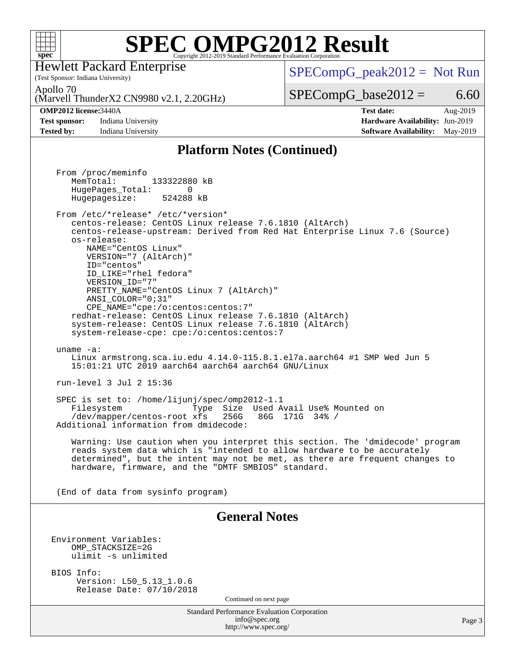

(Test Sponsor: Indiana University) Hewlett Packard Enterprise

 $SPECompG_peak2012 = Not Run$  $SPECompG_peak2012 = Not Run$ 

Apollo 70

(Marvell ThunderX2 CN9980 v2.1, 2.20GHz)

### **[OMP2012 license:](http://www.spec.org/auto/omp2012/Docs/result-fields.html#OMP2012license)**3440A **[Test date:](http://www.spec.org/auto/omp2012/Docs/result-fields.html#Testdate)** Aug-2019

**[Test sponsor:](http://www.spec.org/auto/omp2012/Docs/result-fields.html#Testsponsor)** Indiana University **[Hardware Availability:](http://www.spec.org/auto/omp2012/Docs/result-fields.html#HardwareAvailability)** Jun-2019

 $SPECompG_base2012 = 6.60$  $SPECompG_base2012 = 6.60$ 

**[Tested by:](http://www.spec.org/auto/omp2012/Docs/result-fields.html#Testedby)** Indiana University **[Software Availability:](http://www.spec.org/auto/omp2012/Docs/result-fields.html#SoftwareAvailability)** May-2019

### **[Platform Notes \(Continued\)](http://www.spec.org/auto/omp2012/Docs/result-fields.html#PlatformNotes)**

Standard Performance Evaluation Corporation [info@spec.org](mailto:info@spec.org) <http://www.spec.org/> Page 3 From /proc/meminfo MemTotal: 133322880 kB HugePages\_Total: 0<br>Hugepagesize: 524288 kB Hugepagesize: From /etc/\*release\* /etc/\*version\* centos-release: CentOS Linux release 7.6.1810 (AltArch) centos-release-upstream: Derived from Red Hat Enterprise Linux 7.6 (Source) os-release: NAME="CentOS Linux" VERSION="7 (AltArch)" ID="centos" ID\_LIKE="rhel fedora" VERSION\_ID="7" PRETTY\_NAME="CentOS\_Linux 7 (AltArch)" ANSI\_COLOR="0;31" CPE\_NAME="cpe:/o:centos:centos:7" redhat-release: CentOS Linux release 7.6.1810 (AltArch) system-release: CentOS Linux release 7.6.1810 (AltArch) system-release-cpe: cpe:/o:centos:centos:7 uname -a: Linux armstrong.sca.iu.edu 4.14.0-115.8.1.el7a.aarch64 #1 SMP Wed Jun 5 15:01:21 UTC 2019 aarch64 aarch64 aarch64 GNU/Linux run-level 3 Jul 2 15:36 SPEC is set to: /home/lijunj/spec/omp2012-1.1 Filesystem Type Size Used Avail Use% Mounted on /dev/mapper/centos-root xfs 256G 86G 171G 34% / Additional information from dmidecode: Warning: Use caution when you interpret this section. The 'dmidecode' program reads system data which is "intended to allow hardware to be accurately determined", but the intent may not be met, as there are frequent changes to hardware, firmware, and the "DMTF SMBIOS" standard. (End of data from sysinfo program) **[General Notes](http://www.spec.org/auto/omp2012/Docs/result-fields.html#GeneralNotes)** Environment Variables: OMP\_STACKSIZE=2G ulimit -s unlimited BIOS Info: Version: L50\_5.13\_1.0.6 Release Date: 07/10/2018 Continued on next page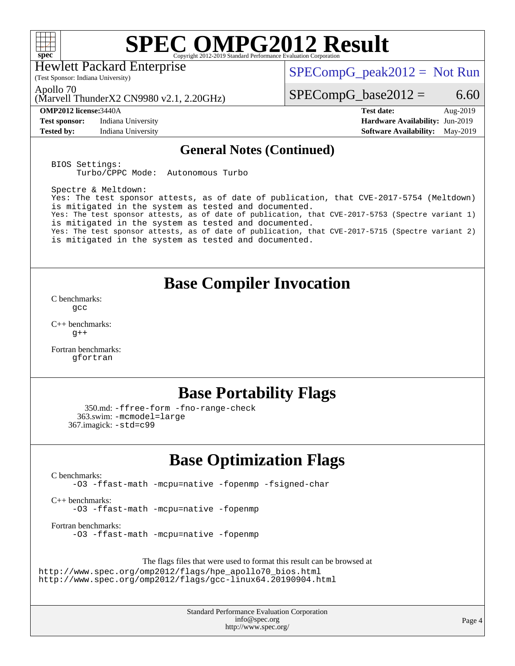

Hewlett Packard Enterprise

 $SPECompG_peak2012 = Not Run$  $SPECompG_peak2012 = Not Run$ 

Apollo 70

(Marvell ThunderX2 CN9980 v2.1, 2.20GHz)

(Test Sponsor: Indiana University)

**[Test sponsor:](http://www.spec.org/auto/omp2012/Docs/result-fields.html#Testsponsor)** Indiana University **[Hardware Availability:](http://www.spec.org/auto/omp2012/Docs/result-fields.html#HardwareAvailability)** Jun-2019

 $SPECompG_base2012 = 6.60$  $SPECompG_base2012 = 6.60$ 

**[OMP2012 license:](http://www.spec.org/auto/omp2012/Docs/result-fields.html#OMP2012license)**3440A **[Test date:](http://www.spec.org/auto/omp2012/Docs/result-fields.html#Testdate)** Aug-2019 **[Tested by:](http://www.spec.org/auto/omp2012/Docs/result-fields.html#Testedby)** Indiana University **[Software Availability:](http://www.spec.org/auto/omp2012/Docs/result-fields.html#SoftwareAvailability)** May-2019

### **[General Notes \(Continued\)](http://www.spec.org/auto/omp2012/Docs/result-fields.html#GeneralNotes)**

BIOS Settings: Turbo/CPPC Mode: Autonomous Turbo

Spectre & Meltdown: Yes: The test sponsor attests, as of date of publication, that CVE-2017-5754 (Meltdown) is mitigated in the system as tested and documented. Yes: The test sponsor attests, as of date of publication, that CVE-2017-5753 (Spectre variant 1) is mitigated in the system as tested and documented. Yes: The test sponsor attests, as of date of publication, that CVE-2017-5715 (Spectre variant 2) is mitigated in the system as tested and documented.

### **[Base Compiler Invocation](http://www.spec.org/auto/omp2012/Docs/result-fields.html#BaseCompilerInvocation)**

[C benchmarks](http://www.spec.org/auto/omp2012/Docs/result-fields.html#Cbenchmarks): [gcc](http://www.spec.org/omp2012/results/res2019q3/omp2012-20190812-00184.flags.html#user_CCbase_gcc_e0d511356bd44120af49cc96c9dcf3b3)

[C++ benchmarks:](http://www.spec.org/auto/omp2012/Docs/result-fields.html#CXXbenchmarks)  $g++$ 

[Fortran benchmarks](http://www.spec.org/auto/omp2012/Docs/result-fields.html#Fortranbenchmarks): [gfortran](http://www.spec.org/omp2012/results/res2019q3/omp2012-20190812-00184.flags.html#user_FCbase_gfortran_a303edaa4a81c8aab35b1bda5c9ef7ba)

## **[Base Portability Flags](http://www.spec.org/auto/omp2012/Docs/result-fields.html#BasePortabilityFlags)**

```
 350.md: -ffree-form -fno-range-check
  363.swim: -mcmodel=large
367.imagick: -std=c99
```
## **[Base Optimization Flags](http://www.spec.org/auto/omp2012/Docs/result-fields.html#BaseOptimizationFlags)**

[C benchmarks](http://www.spec.org/auto/omp2012/Docs/result-fields.html#Cbenchmarks):

[-O3](http://www.spec.org/omp2012/results/res2019q3/omp2012-20190812-00184.flags.html#user_CCbase_f-O3) [-ffast-math](http://www.spec.org/omp2012/results/res2019q3/omp2012-20190812-00184.flags.html#user_CCbase_f-ffast-math) [-mcpu=native](http://www.spec.org/omp2012/results/res2019q3/omp2012-20190812-00184.flags.html#user_CCbase_f-mcpu_8022b0ebebd1cfddb76fd2cd38caa1e3) [-fopenmp](http://www.spec.org/omp2012/results/res2019q3/omp2012-20190812-00184.flags.html#user_CCbase_f-fopenmp) [-fsigned-char](http://www.spec.org/omp2012/results/res2019q3/omp2012-20190812-00184.flags.html#user_CCbase_f-signed-char_ea072296ce3abda7ab095741e7c36064)

[C++ benchmarks:](http://www.spec.org/auto/omp2012/Docs/result-fields.html#CXXbenchmarks) [-O3](http://www.spec.org/omp2012/results/res2019q3/omp2012-20190812-00184.flags.html#user_CXXbase_f-O3) [-ffast-math](http://www.spec.org/omp2012/results/res2019q3/omp2012-20190812-00184.flags.html#user_CXXbase_f-ffast-math) [-mcpu=native](http://www.spec.org/omp2012/results/res2019q3/omp2012-20190812-00184.flags.html#user_CXXbase_f-mcpu_8022b0ebebd1cfddb76fd2cd38caa1e3) [-fopenmp](http://www.spec.org/omp2012/results/res2019q3/omp2012-20190812-00184.flags.html#user_CXXbase_f-fopenmp)

[Fortran benchmarks](http://www.spec.org/auto/omp2012/Docs/result-fields.html#Fortranbenchmarks): [-O3](http://www.spec.org/omp2012/results/res2019q3/omp2012-20190812-00184.flags.html#user_FCbase_f-O3) [-ffast-math](http://www.spec.org/omp2012/results/res2019q3/omp2012-20190812-00184.flags.html#user_FCbase_f-ffast-math) [-mcpu=native](http://www.spec.org/omp2012/results/res2019q3/omp2012-20190812-00184.flags.html#user_FCbase_f-mcpu_8022b0ebebd1cfddb76fd2cd38caa1e3) [-fopenmp](http://www.spec.org/omp2012/results/res2019q3/omp2012-20190812-00184.flags.html#user_FCbase_f-fopenmp)

The flags files that were used to format this result can be browsed at

[http://www.spec.org/omp2012/flags/hpe\\_apollo70\\_bios.html](http://www.spec.org/omp2012/flags/hpe_apollo70_bios.html) <http://www.spec.org/omp2012/flags/gcc-linux64.20190904.html>

> Standard Performance Evaluation Corporation [info@spec.org](mailto:info@spec.org) <http://www.spec.org/>